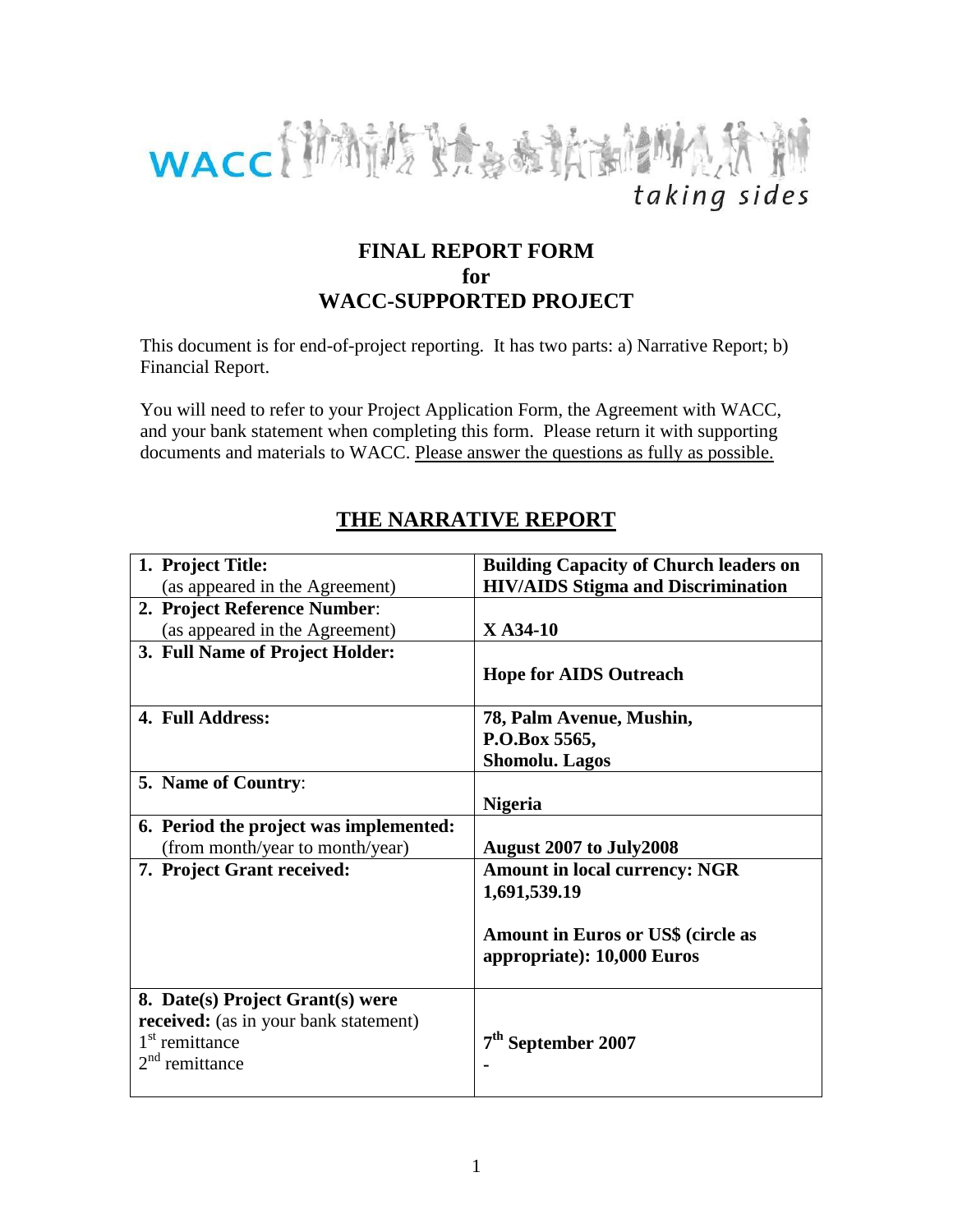

## **FINAL REPORT FORM for WACC-SUPPORTED PROJECT**

This document is for end-of-project reporting. It has two parts: a) Narrative Report; b) Financial Report.

You will need to refer to your Project Application Form, the Agreement with WACC, and your bank statement when completing this form. Please return it with supporting documents and materials to WACC. Please answer the questions as fully as possible.

## **1. Project Title:**  (as appeared in the Agreement) **Building Capacity of Church leaders on HIV/AIDS Stigma and Discrimination 2. Project Reference Number**: (as appeared in the Agreement) **X A34-10 3. Full Name of Project Holder: Hope for AIDS Outreach 4. Full Address: 78, Palm Avenue, Mushin, P.O.Box 5565, Shomolu. Lagos 5. Name of Country**: **Nigeria 6. Period the project was implemented:**  (from month/year to month/year) **August 2007 to July2008 7. Project Grant received: Amount in local currency: NGR 1,691,539.19 Amount in Euros or US\$ (circle as appropriate): 10,000 Euros 8. Date(s) Project Grant(s) were received:** (as in your bank statement) 1<sup>st</sup> remittance 2<sup>nd</sup> remittance **7 th September 2007 -**

# **THE NARRATIVE REPORT**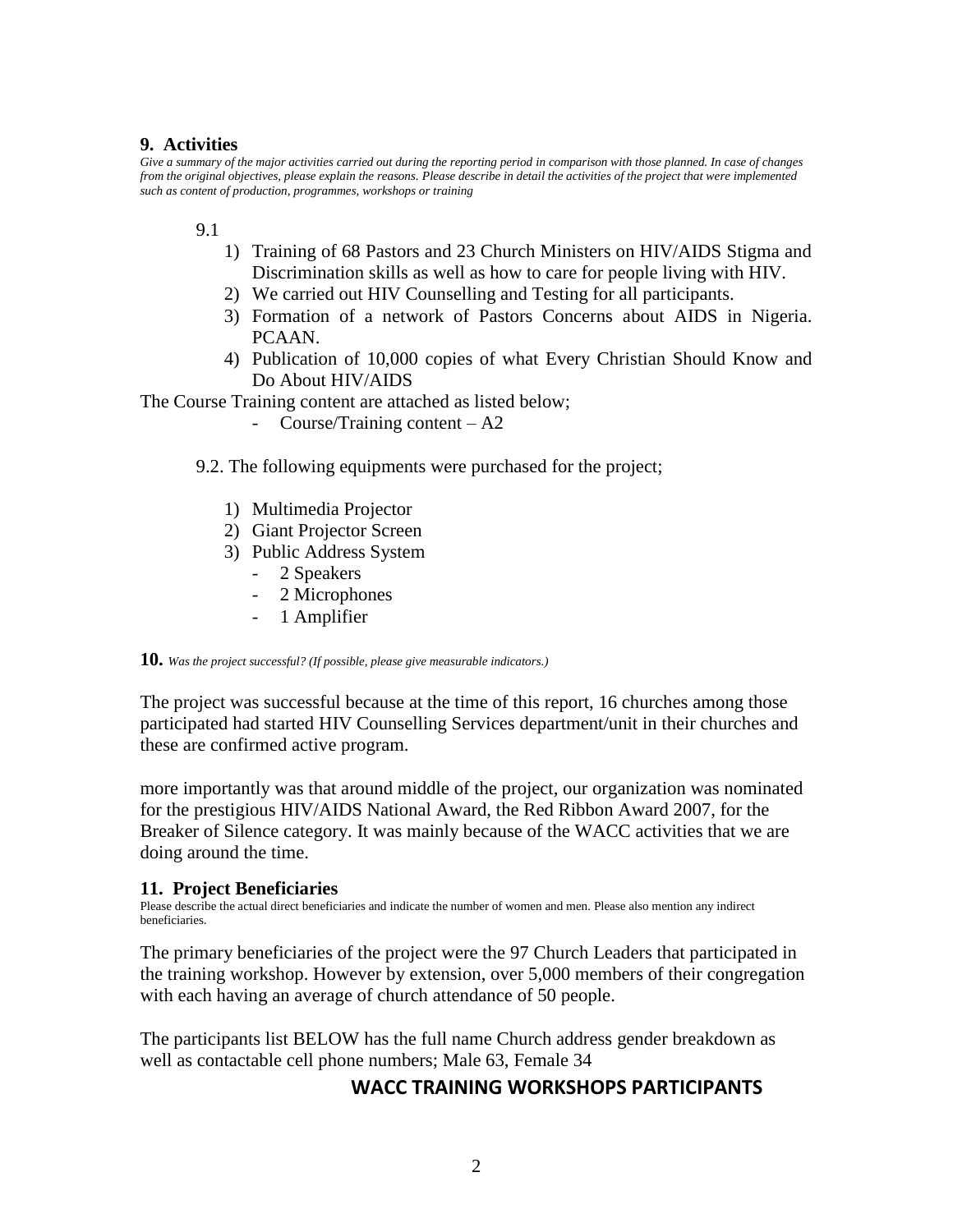## **9. Activities**

Give a summary of the major activities carried out during the reporting period in comparison with those planned. In case of changes *from the original objectives, please explain the reasons. Please describe in detail the activities of the project that were implemented such as content of production, programmes, workshops or training*

## 9.1

- 1) Training of 68 Pastors and 23 Church Ministers on HIV/AIDS Stigma and Discrimination skills as well as how to care for people living with HIV.
- 2) We carried out HIV Counselling and Testing for all participants.
- 3) Formation of a network of Pastors Concerns about AIDS in Nigeria. PCAAN.
- 4) Publication of 10,000 copies of what Every Christian Should Know and Do About HIV/AIDS

The Course Training content are attached as listed below;

- Course/Training content A2
- 9.2. The following equipments were purchased for the project;
	- 1) Multimedia Projector
	- 2) Giant Projector Screen
	- 3) Public Address System
		- 2 Speakers
		- 2 Microphones
		- 1 Amplifier

#### **10.** *Was the project successful? (If possible, please give measurable indicators.)*

The project was successful because at the time of this report, 16 churches among those participated had started HIV Counselling Services department/unit in their churches and these are confirmed active program.

more importantly was that around middle of the project, our organization was nominated for the prestigious HIV/AIDS National Award, the Red Ribbon Award 2007, for the Breaker of Silence category. It was mainly because of the WACC activities that we are doing around the time.

## **11. Project Beneficiaries**

Please describe the actual direct beneficiaries and indicate the number of women and men. Please also mention any indirect beneficiaries.

The primary beneficiaries of the project were the 97 Church Leaders that participated in the training workshop. However by extension, over 5,000 members of their congregation with each having an average of church attendance of 50 people.

The participants list BELOW has the full name Church address gender breakdown as well as contactable cell phone numbers; Male 63, Female 34

## **WACC TRAINING WORKSHOPS PARTICIPANTS**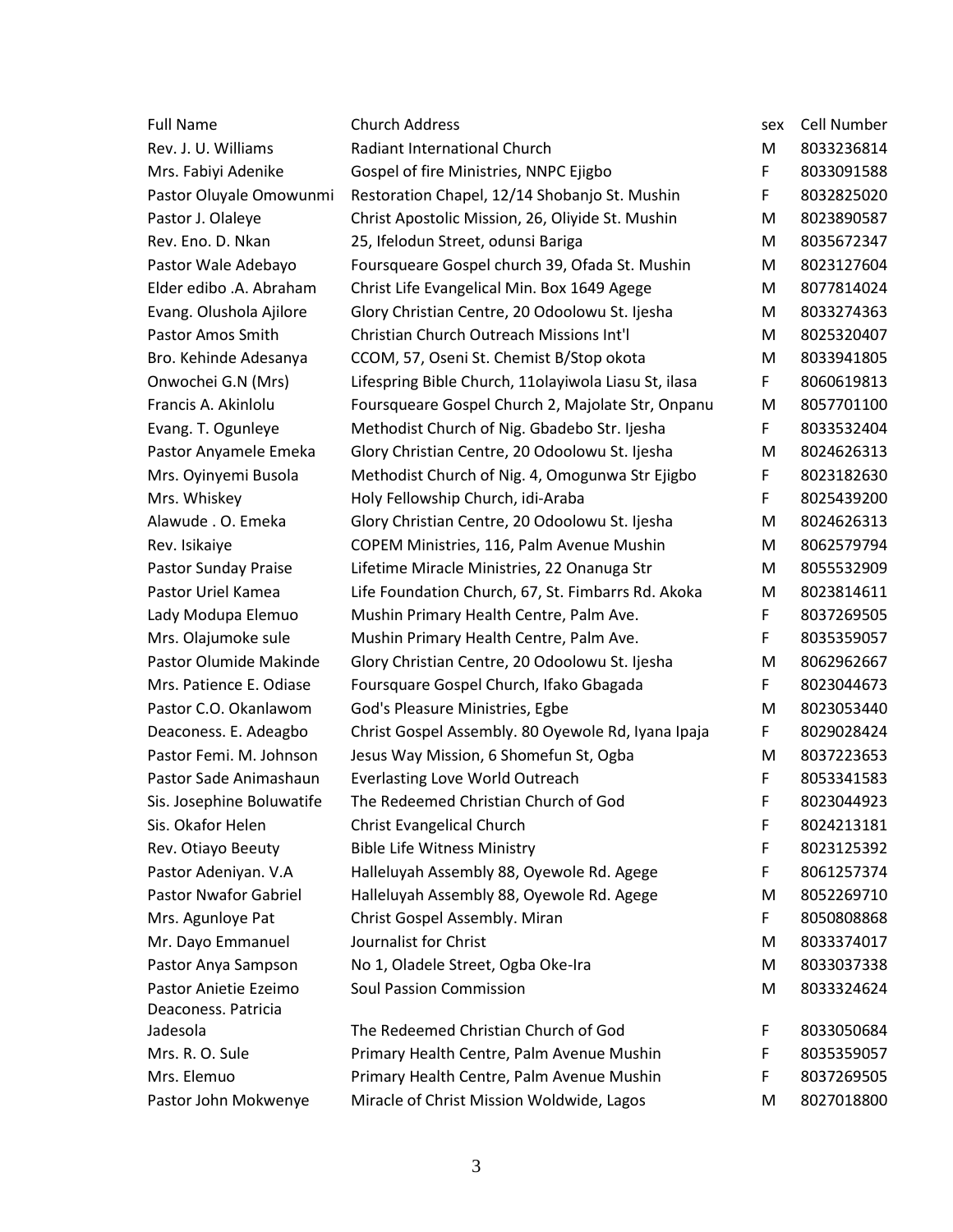| <b>Full Name</b>             | <b>Church Address</b>                                | sex | Cell Number |
|------------------------------|------------------------------------------------------|-----|-------------|
| Rev. J. U. Williams          | Radiant International Church                         | М   | 8033236814  |
| Mrs. Fabiyi Adenike          | Gospel of fire Ministries, NNPC Ejigbo               | F   | 8033091588  |
| Pastor Oluyale Omowunmi      | Restoration Chapel, 12/14 Shobanjo St. Mushin        | F   | 8032825020  |
| Pastor J. Olaleye            | Christ Apostolic Mission, 26, Oliyide St. Mushin     | M   | 8023890587  |
| Rev. Eno. D. Nkan            | 25, Ifelodun Street, odunsi Bariga                   | M   | 8035672347  |
| Pastor Wale Adebayo          | Foursqueare Gospel church 39, Ofada St. Mushin       | M   | 8023127604  |
| Elder edibo .A. Abraham      | Christ Life Evangelical Min. Box 1649 Agege          | M   | 8077814024  |
| Evang. Olushola Ajilore      | Glory Christian Centre, 20 Odoolowu St. Ijesha       | M   | 8033274363  |
| Pastor Amos Smith            | Christian Church Outreach Missions Int'l             | M   | 8025320407  |
| Bro. Kehinde Adesanya        | CCOM, 57, Oseni St. Chemist B/Stop okota             | M   | 8033941805  |
| Onwochei G.N (Mrs)           | Lifespring Bible Church, 11olayiwola Liasu St, ilasa | F   | 8060619813  |
| Francis A. Akinlolu          | Foursqueare Gospel Church 2, Majolate Str, Onpanu    | M   | 8057701100  |
| Evang. T. Ogunleye           | Methodist Church of Nig. Gbadebo Str. Ijesha         | F   | 8033532404  |
| Pastor Anyamele Emeka        | Glory Christian Centre, 20 Odoolowu St. Ijesha       | M   | 8024626313  |
| Mrs. Oyinyemi Busola         | Methodist Church of Nig. 4, Omogunwa Str Ejigbo      | F   | 8023182630  |
| Mrs. Whiskey                 | Holy Fellowship Church, idi-Araba                    | F   | 8025439200  |
| Alawude . O. Emeka           | Glory Christian Centre, 20 Odoolowu St. Ijesha       | M   | 8024626313  |
| Rev. Isikaiye                | COPEM Ministries, 116, Palm Avenue Mushin            | M   | 8062579794  |
| Pastor Sunday Praise         | Lifetime Miracle Ministries, 22 Onanuga Str          | M   | 8055532909  |
| Pastor Uriel Kamea           | Life Foundation Church, 67, St. Fimbarrs Rd. Akoka   | M   | 8023814611  |
| Lady Modupa Elemuo           | Mushin Primary Health Centre, Palm Ave.              | F   | 8037269505  |
| Mrs. Olajumoke sule          | Mushin Primary Health Centre, Palm Ave.              | F   | 8035359057  |
| Pastor Olumide Makinde       | Glory Christian Centre, 20 Odoolowu St. Ijesha       | M   | 8062962667  |
| Mrs. Patience E. Odiase      | Foursquare Gospel Church, Ifako Gbagada              | F   | 8023044673  |
| Pastor C.O. Okanlawom        | God's Pleasure Ministries, Egbe                      | M   | 8023053440  |
| Deaconess. E. Adeagbo        | Christ Gospel Assembly. 80 Oyewole Rd, Iyana Ipaja   | F   | 8029028424  |
| Pastor Femi. M. Johnson      | Jesus Way Mission, 6 Shomefun St, Ogba               | M   | 8037223653  |
| Pastor Sade Animashaun       | <b>Everlasting Love World Outreach</b>               | F   | 8053341583  |
| Sis. Josephine Boluwatife    | The Redeemed Christian Church of God                 | F   | 8023044923  |
| Sis. Okafor Helen            | <b>Christ Evangelical Church</b>                     | F   | 8024213181  |
| Rev. Otiayo Beeuty           | <b>Bible Life Witness Ministry</b>                   | F   | 8023125392  |
| Pastor Adeniyan. V.A         | Halleluyah Assembly 88, Oyewole Rd. Agege            | F   | 8061257374  |
| <b>Pastor Nwafor Gabriel</b> | Halleluyah Assembly 88, Oyewole Rd. Agege            | M   | 8052269710  |
| Mrs. Agunloye Pat            | Christ Gospel Assembly. Miran                        | F   | 8050808868  |
| Mr. Dayo Emmanuel            | Journalist for Christ                                | M   | 8033374017  |
| Pastor Anya Sampson          | No 1, Oladele Street, Ogba Oke-Ira                   | M   | 8033037338  |
| Pastor Anietie Ezeimo        | <b>Soul Passion Commission</b>                       | M   | 8033324624  |
| Deaconess. Patricia          |                                                      |     |             |
| Jadesola                     | The Redeemed Christian Church of God                 | F   | 8033050684  |
| Mrs. R. O. Sule              | Primary Health Centre, Palm Avenue Mushin            | F   | 8035359057  |
| Mrs. Elemuo                  | Primary Health Centre, Palm Avenue Mushin            | F   | 8037269505  |
| Pastor John Mokwenye         | Miracle of Christ Mission Woldwide, Lagos            | M   | 8027018800  |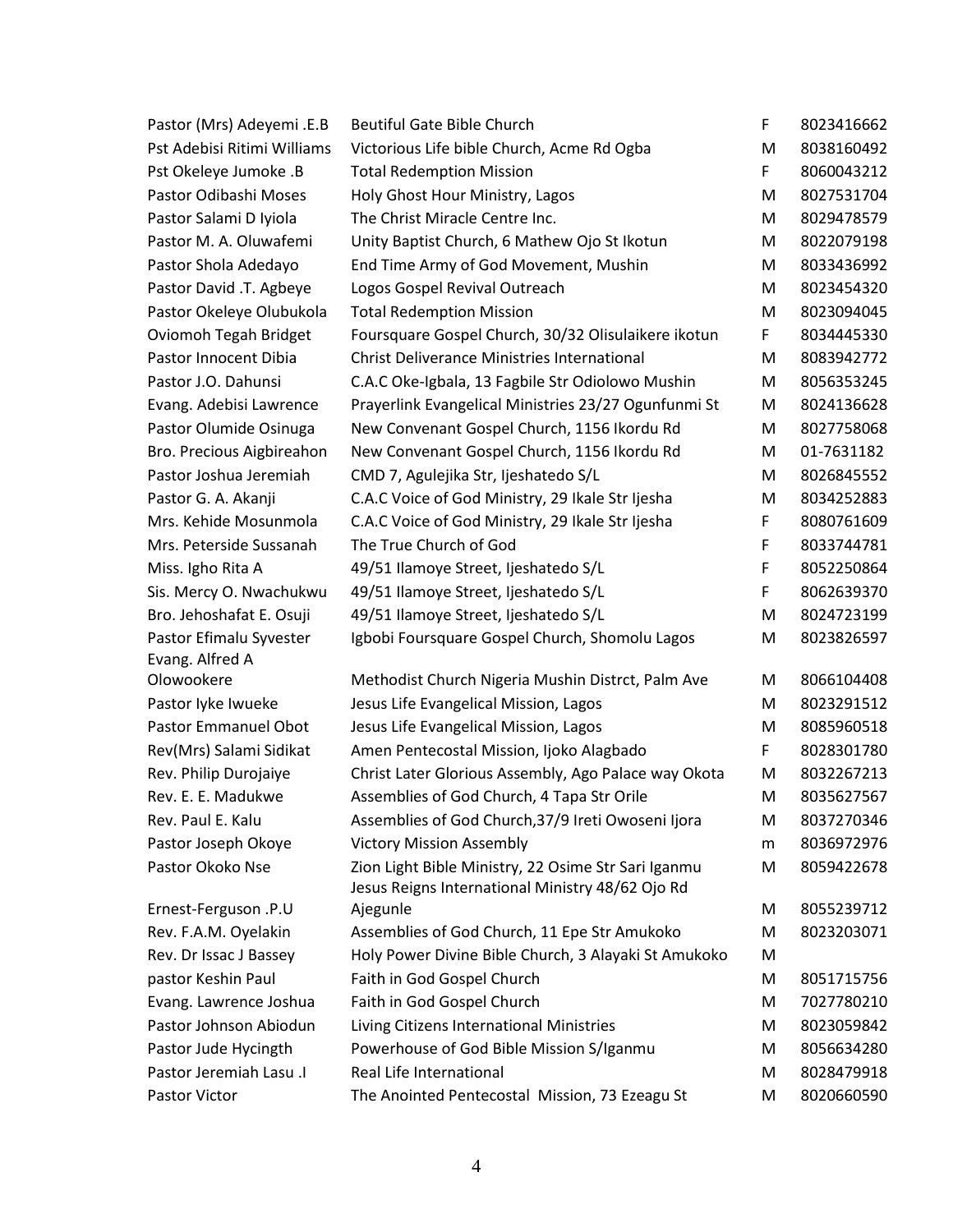| Pastor (Mrs) Adeyemi .E.B    | <b>Beutiful Gate Bible Church</b>                                                                       | F | 8023416662 |
|------------------------------|---------------------------------------------------------------------------------------------------------|---|------------|
| Pst Adebisi Ritimi Williams  | Victorious Life bible Church, Acme Rd Ogba                                                              | M | 8038160492 |
| Pst Okeleye Jumoke .B        | <b>Total Redemption Mission</b>                                                                         | F | 8060043212 |
| Pastor Odibashi Moses        | Holy Ghost Hour Ministry, Lagos                                                                         | M | 8027531704 |
| Pastor Salami D Iyiola       | The Christ Miracle Centre Inc.                                                                          | M | 8029478579 |
| Pastor M. A. Oluwafemi       | Unity Baptist Church, 6 Mathew Ojo St Ikotun                                                            | M | 8022079198 |
| Pastor Shola Adedayo         | End Time Army of God Movement, Mushin                                                                   | M | 8033436992 |
| Pastor David .T. Agbeye      | Logos Gospel Revival Outreach                                                                           | M | 8023454320 |
| Pastor Okeleye Olubukola     | <b>Total Redemption Mission</b>                                                                         | M | 8023094045 |
| <b>Oviomoh Tegah Bridget</b> | Foursquare Gospel Church, 30/32 Olisulaikere ikotun                                                     | F | 8034445330 |
| Pastor Innocent Dibia        | <b>Christ Deliverance Ministries International</b>                                                      | M | 8083942772 |
| Pastor J.O. Dahunsi          | C.A.C Oke-Igbala, 13 Fagbile Str Odiolowo Mushin                                                        | M | 8056353245 |
| Evang. Adebisi Lawrence      | Prayerlink Evangelical Ministries 23/27 Ogunfunmi St                                                    | M | 8024136628 |
| Pastor Olumide Osinuga       | New Convenant Gospel Church, 1156 Ikordu Rd                                                             | М | 8027758068 |
| Bro. Precious Aigbireahon    | New Convenant Gospel Church, 1156 Ikordu Rd                                                             | M | 01-7631182 |
| Pastor Joshua Jeremiah       | CMD 7, Agulejika Str, Ijeshatedo S/L                                                                    | M | 8026845552 |
| Pastor G. A. Akanji          | C.A.C Voice of God Ministry, 29 Ikale Str Ijesha                                                        | M | 8034252883 |
| Mrs. Kehide Mosunmola        | C.A.C Voice of God Ministry, 29 Ikale Str Ijesha                                                        | F | 8080761609 |
| Mrs. Peterside Sussanah      | The True Church of God                                                                                  | F | 8033744781 |
| Miss. Igho Rita A            | 49/51 Ilamoye Street, Ijeshatedo S/L                                                                    | F | 8052250864 |
| Sis. Mercy O. Nwachukwu      | 49/51 Ilamoye Street, Ijeshatedo S/L                                                                    | F | 8062639370 |
| Bro. Jehoshafat E. Osuji     | 49/51 Ilamoye Street, Ijeshatedo S/L                                                                    | M | 8024723199 |
| Pastor Efimalu Syvester      | Igbobi Foursquare Gospel Church, Shomolu Lagos                                                          | M | 8023826597 |
| Evang. Alfred A              |                                                                                                         |   |            |
| Olowookere                   | Methodist Church Nigeria Mushin Distrct, Palm Ave                                                       | M | 8066104408 |
| Pastor lyke Iwueke           | Jesus Life Evangelical Mission, Lagos                                                                   | M | 8023291512 |
| <b>Pastor Emmanuel Obot</b>  | Jesus Life Evangelical Mission, Lagos                                                                   | M | 8085960518 |
| Rev(Mrs) Salami Sidikat      | Amen Pentecostal Mission, Ijoko Alagbado                                                                | F | 8028301780 |
| Rev. Philip Durojaiye        | Christ Later Glorious Assembly, Ago Palace way Okota                                                    | M | 8032267213 |
| Rev. E. E. Madukwe           | Assemblies of God Church, 4 Tapa Str Orile                                                              | M | 8035627567 |
| Rev. Paul E. Kalu            | Assemblies of God Church, 37/9 Ireti Owoseni Ijora                                                      | M | 8037270346 |
| Pastor Joseph Okoye          | <b>Victory Mission Assembly</b>                                                                         | m | 8036972976 |
| Pastor Okoko Nse             | Zion Light Bible Ministry, 22 Osime Str Sari Iganmu<br>Jesus Reigns International Ministry 48/62 Ojo Rd | M | 8059422678 |
| Ernest-Ferguson .P.U         | Ajegunle                                                                                                | M | 8055239712 |
| Rev. F.A.M. Oyelakin         | Assemblies of God Church, 11 Epe Str Amukoko                                                            | M | 8023203071 |
| Rev. Dr Issac J Bassey       | Holy Power Divine Bible Church, 3 Alayaki St Amukoko                                                    | M |            |
| pastor Keshin Paul           | Faith in God Gospel Church                                                                              | M | 8051715756 |
| Evang. Lawrence Joshua       | Faith in God Gospel Church                                                                              | M | 7027780210 |
| Pastor Johnson Abiodun       | Living Citizens International Ministries                                                                | M | 8023059842 |
| Pastor Jude Hycingth         | Powerhouse of God Bible Mission S/Iganmu                                                                | M | 8056634280 |
| Pastor Jeremiah Lasu .I      | Real Life International                                                                                 | M | 8028479918 |
| Pastor Victor                | The Anointed Pentecostal Mission, 73 Ezeagu St                                                          | M | 8020660590 |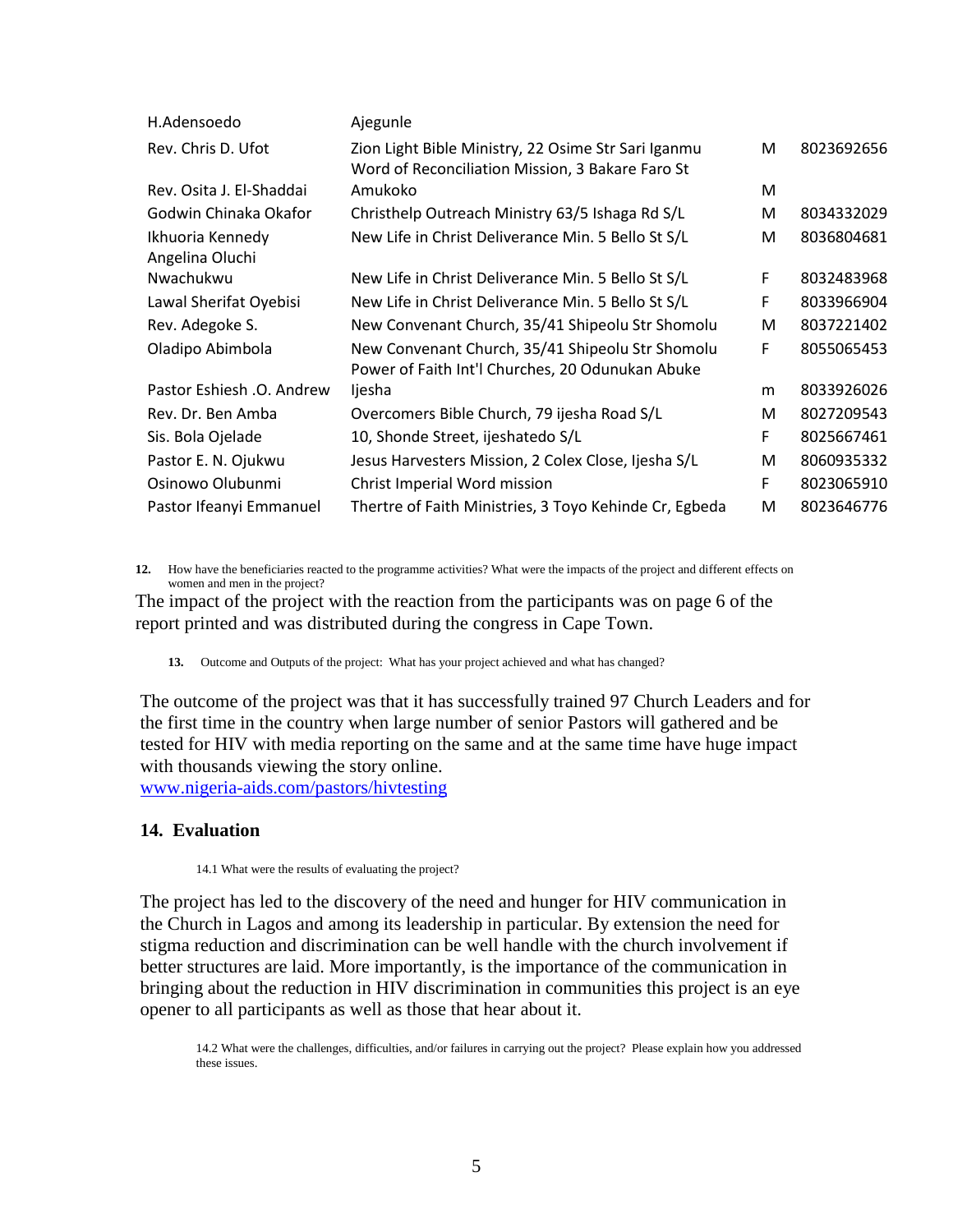| H.Adensoedo                         | Ajegunle                                                                                                |   |            |
|-------------------------------------|---------------------------------------------------------------------------------------------------------|---|------------|
| Rev. Chris D. Ufot                  | Zion Light Bible Ministry, 22 Osime Str Sari Iganmu<br>Word of Reconciliation Mission, 3 Bakare Faro St | м | 8023692656 |
| Rev. Osita J. El-Shaddai            | Amukoko                                                                                                 | М |            |
| Godwin Chinaka Okafor               | Christhelp Outreach Ministry 63/5 Ishaga Rd S/L                                                         | M | 8034332029 |
| Ikhuoria Kennedy<br>Angelina Oluchi | New Life in Christ Deliverance Min. 5 Bello St S/L                                                      | M | 8036804681 |
| Nwachukwu                           | New Life in Christ Deliverance Min. 5 Bello St S/L                                                      | F | 8032483968 |
| Lawal Sherifat Oyebisi              | New Life in Christ Deliverance Min. 5 Bello St S/L                                                      | F | 8033966904 |
| Rev. Adegoke S.                     | New Convenant Church, 35/41 Shipeolu Str Shomolu                                                        | M | 8037221402 |
| Oladipo Abimbola                    | New Convenant Church, 35/41 Shipeolu Str Shomolu<br>Power of Faith Int'l Churches, 20 Odunukan Abuke    | F | 8055065453 |
| Pastor Eshiesh .O. Andrew           | ljesha                                                                                                  | m | 8033926026 |
| Rev. Dr. Ben Amba                   | Overcomers Bible Church, 79 ijesha Road S/L                                                             | M | 8027209543 |
| Sis. Bola Ojelade                   | 10, Shonde Street, ijeshatedo S/L                                                                       | F | 8025667461 |
| Pastor E. N. Ojukwu                 | Jesus Harvesters Mission, 2 Colex Close, Ijesha S/L                                                     | м | 8060935332 |
| Osinowo Olubunmi                    | Christ Imperial Word mission                                                                            | F | 8023065910 |
| Pastor Ifeanyi Emmanuel             | Thertre of Faith Ministries, 3 Toyo Kehinde Cr, Egbeda                                                  | М | 8023646776 |

**12.** How have the beneficiaries reacted to the programme activities? What were the impacts of the project and different effects on women and men in the project?

The impact of the project with the reaction from the participants was on page 6 of the report printed and was distributed during the congress in Cape Town.

**13.** Outcome and Outputs of the project: What has your project achieved and what has changed?

The outcome of the project was that it has successfully trained 97 Church Leaders and for the first time in the country when large number of senior Pastors will gathered and be tested for HIV with media reporting on the same and at the same time have huge impact with thousands viewing the story online. [www.nigeria-aids.com/pastors/hivtesting](http://www.nigeria-aids.com/pastors_hiv_testing)

#### **14. Evaluation**

14.1 What were the results of evaluating the project?

The project has led to the discovery of the need and hunger for HIV communication in the Church in Lagos and among its leadership in particular. By extension the need for stigma reduction and discrimination can be well handle with the church involvement if better structures are laid. More importantly, is the importance of the communication in bringing about the reduction in HIV discrimination in communities this project is an eye opener to all participants as well as those that hear about it.

14.2 What were the challenges, difficulties, and/or failures in carrying out the project? Please explain how you addressed these issues.